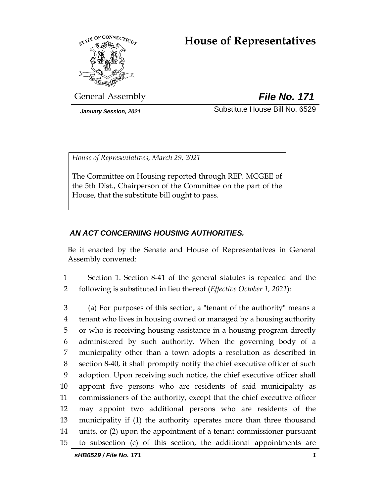# **House of Representatives**



General Assembly *File No. 171*

*January Session, 2021* Substitute House Bill No. 6529

*House of Representatives, March 29, 2021*

The Committee on Housing reported through REP. MCGEE of the 5th Dist., Chairperson of the Committee on the part of the House, that the substitute bill ought to pass.

## *AN ACT CONCERNING HOUSING AUTHORITIES.*

Be it enacted by the Senate and House of Representatives in General Assembly convened:

1 Section 1. Section 8-41 of the general statutes is repealed and the 2 following is substituted in lieu thereof (*Effective October 1, 2021*):

 (a) For purposes of this section, a "tenant of the authority" means a tenant who lives in housing owned or managed by a housing authority or who is receiving housing assistance in a housing program directly administered by such authority. When the governing body of a municipality other than a town adopts a resolution as described in section 8-40, it shall promptly notify the chief executive officer of such adoption. Upon receiving such notice, the chief executive officer shall appoint five persons who are residents of said municipality as commissioners of the authority, except that the chief executive officer may appoint two additional persons who are residents of the municipality if (1) the authority operates more than three thousand units, or (2) upon the appointment of a tenant commissioner pursuant to subsection (c) of this section, the additional appointments are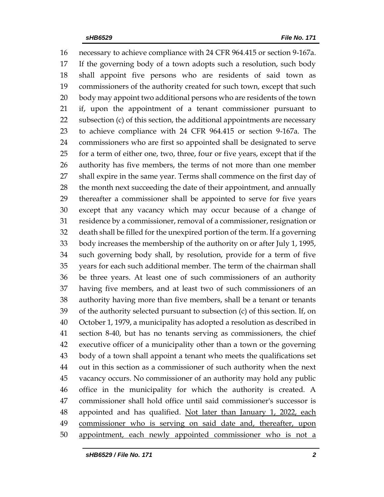necessary to achieve compliance with 24 CFR 964.415 or section 9-167a. If the governing body of a town adopts such a resolution, such body shall appoint five persons who are residents of said town as commissioners of the authority created for such town, except that such body may appoint two additional persons who are residents of the town if, upon the appointment of a tenant commissioner pursuant to subsection (c) of this section, the additional appointments are necessary to achieve compliance with 24 CFR 964.415 or section 9-167a. The commissioners who are first so appointed shall be designated to serve for a term of either one, two, three, four or five years, except that if the authority has five members, the terms of not more than one member shall expire in the same year. Terms shall commence on the first day of the month next succeeding the date of their appointment, and annually thereafter a commissioner shall be appointed to serve for five years except that any vacancy which may occur because of a change of residence by a commissioner, removal of a commissioner, resignation or death shall be filled for the unexpired portion of the term. If a governing body increases the membership of the authority on or after July 1, 1995, such governing body shall, by resolution, provide for a term of five years for each such additional member. The term of the chairman shall be three years. At least one of such commissioners of an authority having five members, and at least two of such commissioners of an authority having more than five members, shall be a tenant or tenants of the authority selected pursuant to subsection (c) of this section. If, on October 1, 1979, a municipality has adopted a resolution as described in section 8-40, but has no tenants serving as commissioners, the chief executive officer of a municipality other than a town or the governing body of a town shall appoint a tenant who meets the qualifications set out in this section as a commissioner of such authority when the next vacancy occurs. No commissioner of an authority may hold any public office in the municipality for which the authority is created. A commissioner shall hold office until said commissioner's successor is 48 appointed and has qualified. Not later than January 1, 2022, each commissioner who is serving on said date and, thereafter, upon appointment, each newly appointed commissioner who is not a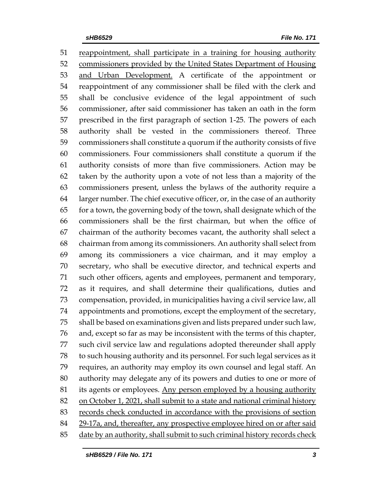reappointment, shall participate in a training for housing authority commissioners provided by the United States Department of Housing 53 and Urban Development. A certificate of the appointment or reappointment of any commissioner shall be filed with the clerk and shall be conclusive evidence of the legal appointment of such commissioner, after said commissioner has taken an oath in the form prescribed in the first paragraph of section 1-25. The powers of each authority shall be vested in the commissioners thereof. Three commissioners shall constitute a quorum if the authority consists of five commissioners. Four commissioners shall constitute a quorum if the authority consists of more than five commissioners. Action may be taken by the authority upon a vote of not less than a majority of the commissioners present, unless the bylaws of the authority require a larger number. The chief executive officer, or, in the case of an authority for a town, the governing body of the town, shall designate which of the commissioners shall be the first chairman, but when the office of chairman of the authority becomes vacant, the authority shall select a chairman from among its commissioners. An authority shall select from among its commissioners a vice chairman, and it may employ a secretary, who shall be executive director, and technical experts and such other officers, agents and employees, permanent and temporary, as it requires, and shall determine their qualifications, duties and compensation, provided, in municipalities having a civil service law, all appointments and promotions, except the employment of the secretary, shall be based on examinations given and lists prepared under such law, and, except so far as may be inconsistent with the terms of this chapter, such civil service law and regulations adopted thereunder shall apply to such housing authority and its personnel. For such legal services as it requires, an authority may employ its own counsel and legal staff. An authority may delegate any of its powers and duties to one or more of 81 its agents or employees. Any person employed by a housing authority on October 1, 2021, shall submit to a state and national criminal history records check conducted in accordance with the provisions of section 29-17a, and, thereafter, any prospective employee hired on or after said 85 date by an authority, shall submit to such criminal history records check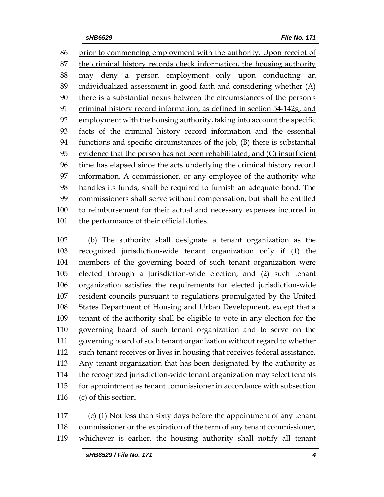prior to commencing employment with the authority. Upon receipt of the criminal history records check information, the housing authority may deny a person employment only upon conducting an individualized assessment in good faith and considering whether (A) there is a substantial nexus between the circumstances of the person's criminal history record information, as defined in section 54-142g, and employment with the housing authority, taking into account the specific facts of the criminal history record information and the essential functions and specific circumstances of the job, (B) there is substantial evidence that the person has not been rehabilitated, and (C) insufficient 96 time has elapsed since the acts underlying the criminal history record information. A commissioner, or any employee of the authority who handles its funds, shall be required to furnish an adequate bond. The commissioners shall serve without compensation, but shall be entitled to reimbursement for their actual and necessary expenses incurred in 101 the performance of their official duties.

 (b) The authority shall designate a tenant organization as the recognized jurisdiction-wide tenant organization only if (1) the members of the governing board of such tenant organization were elected through a jurisdiction-wide election, and (2) such tenant organization satisfies the requirements for elected jurisdiction-wide resident councils pursuant to regulations promulgated by the United States Department of Housing and Urban Development, except that a tenant of the authority shall be eligible to vote in any election for the governing board of such tenant organization and to serve on the governing board of such tenant organization without regard to whether such tenant receives or lives in housing that receives federal assistance. Any tenant organization that has been designated by the authority as the recognized jurisdiction-wide tenant organization may select tenants for appointment as tenant commissioner in accordance with subsection (c) of this section.

 (c) (1) Not less than sixty days before the appointment of any tenant commissioner or the expiration of the term of any tenant commissioner, whichever is earlier, the housing authority shall notify all tenant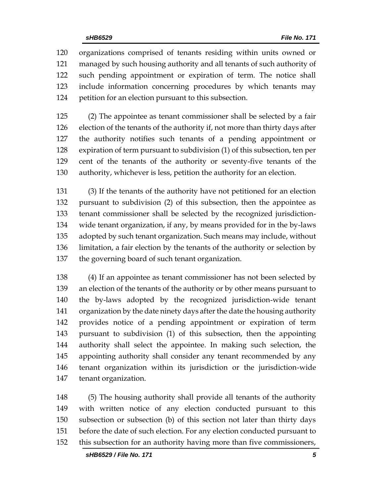organizations comprised of tenants residing within units owned or managed by such housing authority and all tenants of such authority of such pending appointment or expiration of term. The notice shall include information concerning procedures by which tenants may petition for an election pursuant to this subsection.

 (2) The appointee as tenant commissioner shall be selected by a fair election of the tenants of the authority if, not more than thirty days after the authority notifies such tenants of a pending appointment or expiration of term pursuant to subdivision (1) of this subsection, ten per cent of the tenants of the authority or seventy-five tenants of the authority, whichever is less, petition the authority for an election.

 (3) If the tenants of the authority have not petitioned for an election pursuant to subdivision (2) of this subsection, then the appointee as tenant commissioner shall be selected by the recognized jurisdiction- wide tenant organization, if any, by means provided for in the by-laws adopted by such tenant organization. Such means may include, without limitation, a fair election by the tenants of the authority or selection by the governing board of such tenant organization.

 (4) If an appointee as tenant commissioner has not been selected by an election of the tenants of the authority or by other means pursuant to the by-laws adopted by the recognized jurisdiction-wide tenant organization by the date ninety days after the date the housing authority provides notice of a pending appointment or expiration of term pursuant to subdivision (1) of this subsection, then the appointing authority shall select the appointee. In making such selection, the appointing authority shall consider any tenant recommended by any tenant organization within its jurisdiction or the jurisdiction-wide tenant organization.

 (5) The housing authority shall provide all tenants of the authority with written notice of any election conducted pursuant to this subsection or subsection (b) of this section not later than thirty days before the date of such election. For any election conducted pursuant to this subsection for an authority having more than five commissioners,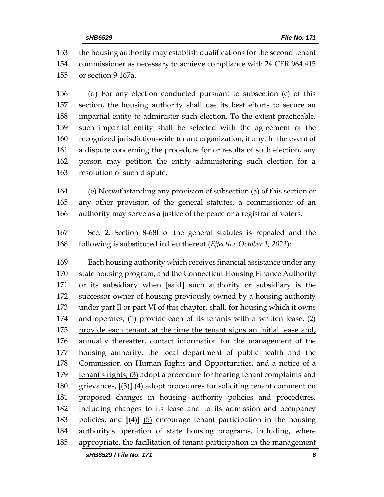the housing authority may establish qualifications for the second tenant commissioner as necessary to achieve compliance with 24 CFR 964.415 or section 9-167a.

 (d) For any election conducted pursuant to subsection (c) of this section, the housing authority shall use its best efforts to secure an impartial entity to administer such election. To the extent practicable, such impartial entity shall be selected with the agreement of the recognized jurisdiction-wide tenant organization, if any. In the event of a dispute concerning the procedure for or results of such election, any person may petition the entity administering such election for a resolution of such dispute.

 (e) Notwithstanding any provision of subsection (a) of this section or any other provision of the general statutes, a commissioner of an authority may serve as a justice of the peace or a registrar of voters.

 Sec. 2. Section 8-68f of the general statutes is repealed and the following is substituted in lieu thereof (*Effective October 1, 2021*):

 Each housing authority which receives financial assistance under any state housing program, and the Connecticut Housing Finance Authority or its subsidiary when **[**said**]** such authority or subsidiary is the successor owner of housing previously owned by a housing authority under part II or part VI of this chapter, shall, for housing which it owns and operates, (1) provide each of its tenants with a written lease, (2) 175 provide each tenant, at the time the tenant signs an initial lease and, 176 annually thereafter, contact information for the management of the housing authority, the local department of public health and the Commission on Human Rights and Opportunities, and a notice of a tenant's rights, (3) adopt a procedure for hearing tenant complaints and grievances, **[**(3)**]** (4) adopt procedures for soliciting tenant comment on proposed changes in housing authority policies and procedures, including changes to its lease and to its admission and occupancy policies, and **[**(4)**]** (5) encourage tenant participation in the housing authority's operation of state housing programs, including, where appropriate, the facilitation of tenant participation in the management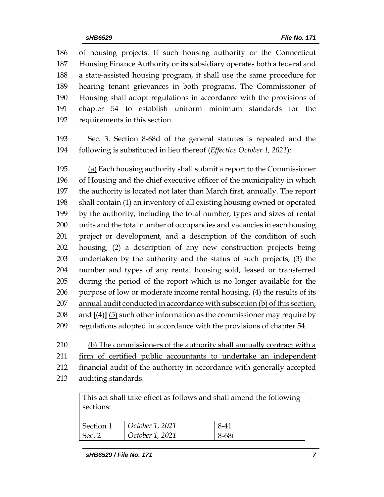of housing projects. If such housing authority or the Connecticut Housing Finance Authority or its subsidiary operates both a federal and a state-assisted housing program, it shall use the same procedure for hearing tenant grievances in both programs. The Commissioner of Housing shall adopt regulations in accordance with the provisions of chapter 54 to establish uniform minimum standards for the requirements in this section.

 Sec. 3. Section 8-68d of the general statutes is repealed and the following is substituted in lieu thereof (*Effective October 1, 2021*):

 (a) Each housing authority shall submit a report to the Commissioner of Housing and the chief executive officer of the municipality in which the authority is located not later than March first, annually. The report shall contain (1) an inventory of all existing housing owned or operated by the authority, including the total number, types and sizes of rental units and the total number of occupancies and vacancies in each housing project or development, and a description of the condition of such housing, (2) a description of any new construction projects being undertaken by the authority and the status of such projects, (3) the number and types of any rental housing sold, leased or transferred during the period of the report which is no longer available for the 206 purpose of low or moderate income rental housing, (4) the results of its annual audit conducted in accordance with subsection (b) of this section, and **[**(4)**]** (5) such other information as the commissioner may require by regulations adopted in accordance with the provisions of chapter 54.

 (b) The commissioners of the authority shall annually contract with a firm of certified public accountants to undertake an independent financial audit of the authority in accordance with generally accepted 213 auditing standards.

This act shall take effect as follows and shall amend the following sections:

| Section 1 | October 1, 2021 | 8-41  |
|-----------|-----------------|-------|
| Sec. 2    | October 1, 2021 | 8-68f |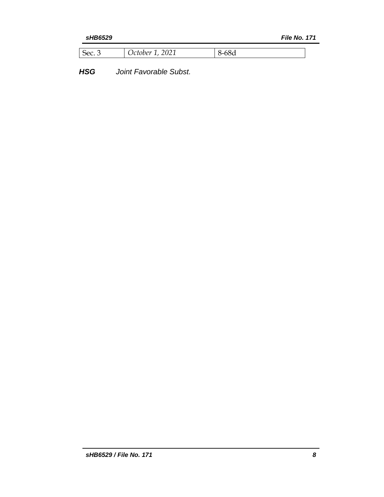| 2021<br>l Sec.<br>October 1 | -682 |
|-----------------------------|------|
|-----------------------------|------|

*HSG Joint Favorable Subst.*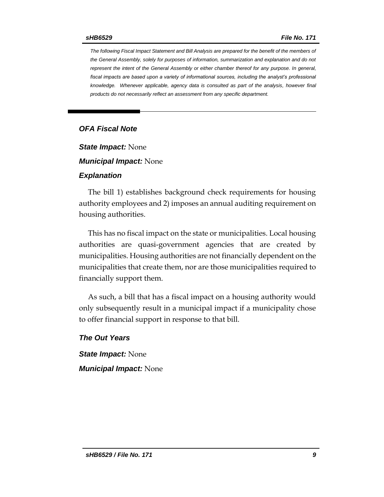*The following Fiscal Impact Statement and Bill Analysis are prepared for the benefit of the members of the General Assembly, solely for purposes of information, summarization and explanation and do not represent the intent of the General Assembly or either chamber thereof for any purpose. In general,*  fiscal impacts are based upon a variety of informational sources, including the analyst's professional *knowledge. Whenever applicable, agency data is consulted as part of the analysis, however final products do not necessarily reflect an assessment from any specific department.*

### *OFA Fiscal Note*

*State Impact:* None

*Municipal Impact:* None

### *Explanation*

The bill 1) establishes background check requirements for housing authority employees and 2) imposes an annual auditing requirement on housing authorities.

This has no fiscal impact on the state or municipalities. Local housing authorities are quasi-government agencies that are created by municipalities. Housing authorities are not financially dependent on the municipalities that create them, nor are those municipalities required to financially support them.

As such, a bill that has a fiscal impact on a housing authority would only subsequently result in a municipal impact if a municipality chose to offer financial support in response to that bill.

*The Out Years*

*State Impact:* None *Municipal Impact:* None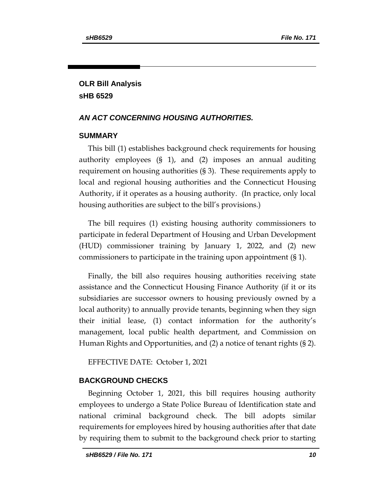## **OLR Bill Analysis sHB 6529**

## *AN ACT CONCERNING HOUSING AUTHORITIES.*

## **SUMMARY**

This bill (1) establishes background check requirements for housing authority employees (§ 1), and (2) imposes an annual auditing requirement on housing authorities (§ 3). These requirements apply to local and regional housing authorities and the Connecticut Housing Authority, if it operates as a housing authority. (In practice, only local housing authorities are subject to the bill's provisions.)

The bill requires (1) existing housing authority commissioners to participate in federal Department of Housing and Urban Development (HUD) commissioner training by January 1, 2022, and (2) new commissioners to participate in the training upon appointment (§ 1).

Finally, the bill also requires housing authorities receiving state assistance and the Connecticut Housing Finance Authority (if it or its subsidiaries are successor owners to housing previously owned by a local authority) to annually provide tenants, beginning when they sign their initial lease, (1) contact information for the authority's management, local public health department, and Commission on Human Rights and Opportunities, and (2) a notice of tenant rights (§ 2).

EFFECTIVE DATE: October 1, 2021

## **BACKGROUND CHECKS**

Beginning October 1, 2021, this bill requires housing authority employees to undergo a State Police Bureau of Identification state and national criminal background check. The bill adopts similar requirements for employees hired by housing authorities after that date by requiring them to submit to the background check prior to starting